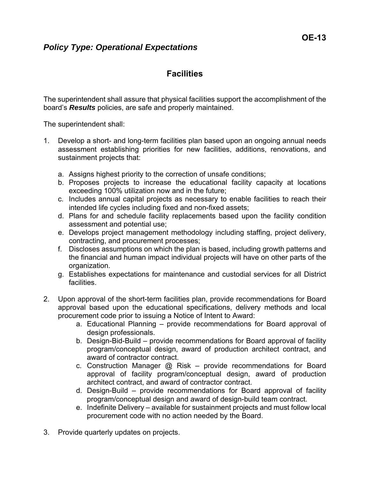## *Policy Type: Operational Expectations*

## **Facilities**

The superintendent shall assure that physical facilities support the accomplishment of the board's *Results* policies, are safe and properly maintained.

The superintendent shall:

- 1. Develop a short- and long-term facilities plan based upon an ongoing annual needs assessment establishing priorities for new facilities, additions, renovations, and sustainment projects that:
	- a. Assigns highest priority to the correction of unsafe conditions;
	- b. Proposes projects to increase the educational facility capacity at locations exceeding 100% utilization now and in the future;
	- c. Includes annual capital projects as necessary to enable facilities to reach their intended life cycles including fixed and non-fixed assets;
	- d. Plans for and schedule facility replacements based upon the facility condition assessment and potential use;
	- e. Develops project management methodology including staffing, project delivery, contracting, and procurement processes;
	- f. Discloses assumptions on which the plan is based, including growth patterns and the financial and human impact individual projects will have on other parts of the organization.
	- g. Establishes expectations for maintenance and custodial services for all District facilities.
- 2. Upon approval of the short-term facilities plan, provide recommendations for Board approval based upon the educational specifications, delivery methods and local procurement code prior to issuing a Notice of Intent to Award:
	- a. Educational Planning provide recommendations for Board approval of design professionals.
	- b. Design-Bid-Build provide recommendations for Board approval of facility program/conceptual design, award of production architect contract, and award of contractor contract.
	- c. Construction Manager @ Risk provide recommendations for Board approval of facility program/conceptual design, award of production architect contract, and award of contractor contract.
	- d. Design-Build provide recommendations for Board approval of facility program/conceptual design and award of design-build team contract.
	- e. Indefinite Delivery available for sustainment projects and must follow local procurement code with no action needed by the Board.
- 3. Provide quarterly updates on projects.